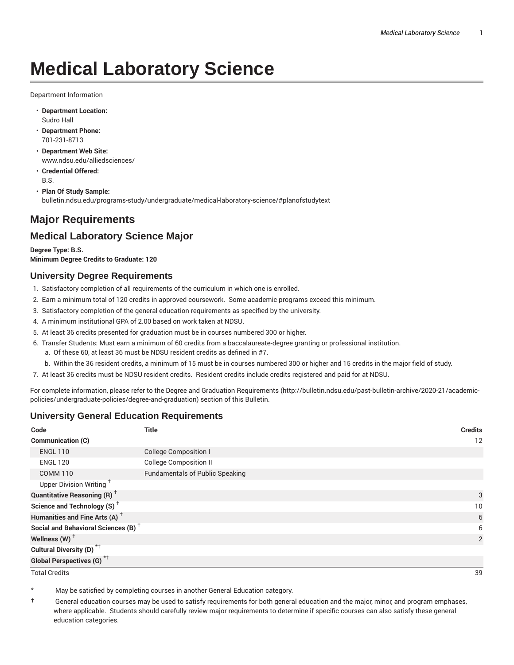# **Medical Laboratory Science**

Department Information

- **Department Location:** Sudro Hall
- **Department Phone:** 701-231-8713
- **Department Web Site:** www.ndsu.edu/alliedsciences/
- **Credential Offered:** B.S.
- **Plan Of Study Sample:** bulletin.ndsu.edu/programs-study/undergraduate/medical-laboratory-science/#planofstudytext

## **Major Requirements**

### **Medical Laboratory Science Major**

**Degree Type: B.S. Minimum Degree Credits to Graduate: 120**

#### **University Degree Requirements**

- 1. Satisfactory completion of all requirements of the curriculum in which one is enrolled.
- 2. Earn a minimum total of 120 credits in approved coursework. Some academic programs exceed this minimum.
- 3. Satisfactory completion of the general education requirements as specified by the university.
- 4. A minimum institutional GPA of 2.00 based on work taken at NDSU.
- 5. At least 36 credits presented for graduation must be in courses numbered 300 or higher.
- 6. Transfer Students: Must earn a minimum of 60 credits from a baccalaureate-degree granting or professional institution.
	- a. Of these 60, at least 36 must be NDSU resident credits as defined in #7.
	- b. Within the 36 resident credits, a minimum of 15 must be in courses numbered 300 or higher and 15 credits in the major field of study.
- 7. At least 36 credits must be NDSU resident credits. Resident credits include credits registered and paid for at NDSU.

For complete information, please refer to the Degree and Graduation Requirements (http://bulletin.ndsu.edu/past-bulletin-archive/2020-21/academicpolicies/undergraduate-policies/degree-and-graduation) section of this Bulletin.

#### **University General Education Requirements**

| Code                                            | Title                                  | <b>Credits</b> |
|-------------------------------------------------|----------------------------------------|----------------|
| <b>Communication (C)</b>                        |                                        | 12             |
| <b>ENGL 110</b>                                 | <b>College Composition I</b>           |                |
| <b>ENGL 120</b>                                 | <b>College Composition II</b>          |                |
| <b>COMM 110</b>                                 | <b>Fundamentals of Public Speaking</b> |                |
| Upper Division Writing <sup>+</sup>             |                                        |                |
| <b>Quantitative Reasoning (R)</b> <sup>†</sup>  |                                        | 3              |
| Science and Technology (S) <sup>+</sup>         |                                        | 10             |
| Humanities and Fine Arts (A) <sup>+</sup>       |                                        | 6              |
| Social and Behavioral Sciences (B) <sup>+</sup> |                                        | 6              |
| Wellness $(W)$ <sup>+</sup>                     |                                        | 2              |
| Cultural Diversity (D) <sup>*†</sup>            |                                        |                |
| <b>Global Perspectives (G)<sup>*†</sup></b>     |                                        |                |

Total Credits 39

May be satisfied by completing courses in another General Education category.

† General education courses may be used to satisfy requirements for both general education and the major, minor, and program emphases, where applicable. Students should carefully review major requirements to determine if specific courses can also satisfy these general education categories.